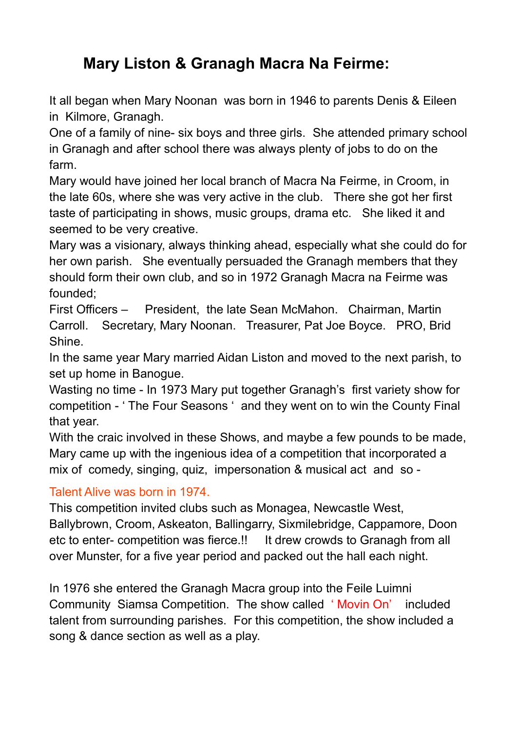## **Mary Liston & Granagh Macra Na Feirme:**

It all began when Mary Noonan was born in 1946 to parents Denis & Eileen in Kilmore, Granagh.

One of a family of nine- six boys and three girls. She attended primary school in Granagh and after school there was always plenty of jobs to do on the farm.

Mary would have joined her local branch of Macra Na Feirme, in Croom, in the late 60s, where she was very active in the club. There she got her first taste of participating in shows, music groups, drama etc. She liked it and seemed to be very creative.

Mary was a visionary, always thinking ahead, especially what she could do for her own parish. She eventually persuaded the Granagh members that they should form their own club, and so in 1972 Granagh Macra na Feirme was founded;

First Officers – President, the late Sean McMahon. Chairman, Martin Carroll. Secretary, Mary Noonan. Treasurer, Pat Joe Boyce. PRO, Brid Shine.

In the same year Mary married Aidan Liston and moved to the next parish, to set up home in Banogue.

Wasting no time - In 1973 Mary put together Granagh's first variety show for competition - ' The Four Seasons ' and they went on to win the County Final that year.

With the craic involved in these Shows, and maybe a few pounds to be made, Mary came up with the ingenious idea of a competition that incorporated a mix of comedy, singing, quiz, impersonation & musical act and so -

## Talent Alive was born in 1974.

This competition invited clubs such as Monagea, Newcastle West, Ballybrown, Croom, Askeaton, Ballingarry, Sixmilebridge, Cappamore, Doon etc to enter- competition was fierce.!! It drew crowds to Granagh from all over Munster, for a five year period and packed out the hall each night.

In 1976 she entered the Granagh Macra group into the Feile Luimni Community Siamsa Competition. The show called ' Movin On' included talent from surrounding parishes. For this competition, the show included a song & dance section as well as a play.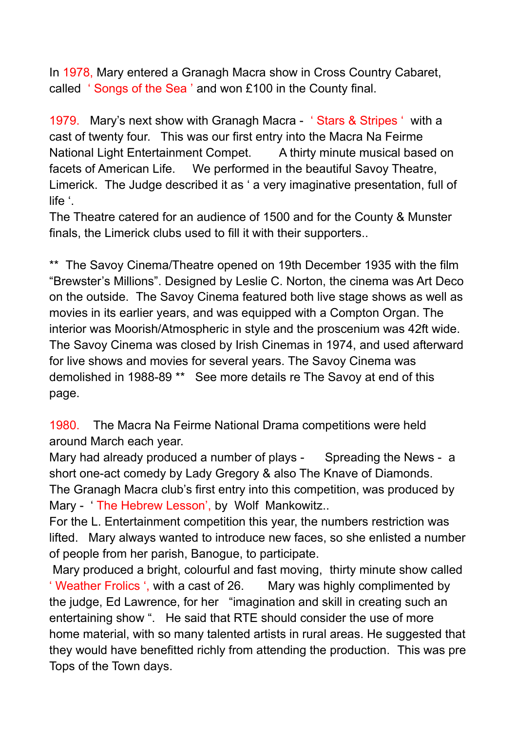In 1978, Mary entered a Granagh Macra show in Cross Country Cabaret, called ' Songs of the Sea ' and won £100 in the County final.

1979. Mary's next show with Granagh Macra - ' Stars & Stripes ' with a cast of twenty four. This was our first entry into the Macra Na Feirme National Light Entertainment Compet. A thirty minute musical based on facets of American Life. We performed in the beautiful Savoy Theatre, Limerick. The Judge described it as ' a very imaginative presentation, full of life '.

The Theatre catered for an audience of 1500 and for the County & Munster finals, the Limerick clubs used to fill it with their supporters..

\*\* The Savoy Cinema/Theatre opened on 19th December 1935 with the film "Brewster's Millions". Designed by Leslie C. Norton, the cinema was Art Deco on the outside. The Savoy Cinema featured both live stage shows as well as movies in its earlier years, and was equipped with a Compton Organ. The interior was Moorish/Atmospheric in style and the proscenium was 42ft wide. The Savoy Cinema was closed by Irish Cinemas in 1974, and used afterward for live shows and movies for several years. The Savoy Cinema was demolished in 1988-89 \*\* See more details re The Savoy at end of this page.

1980. The Macra Na Feirme National Drama competitions were held around March each year.

Mary had already produced a number of plays - Spreading the News - a short one-act comedy by Lady Gregory & also The Knave of Diamonds. The Granagh Macra club's first entry into this competition, was produced by Mary - 'The Hebrew Lesson', by Wolf Mankowitz..

For the L. Entertainment competition this year, the numbers restriction was lifted. Mary always wanted to introduce new faces, so she enlisted a number of people from her parish, Banogue, to participate.

Mary produced a bright, colourful and fast moving, thirty minute show called ' Weather Frolics ', with a cast of 26. Mary was highly complimented by the judge, Ed Lawrence, for her "imagination and skill in creating such an entertaining show ". He said that RTE should consider the use of more home material, with so many talented artists in rural areas. He suggested that they would have benefitted richly from attending the production. This was pre Tops of the Town days.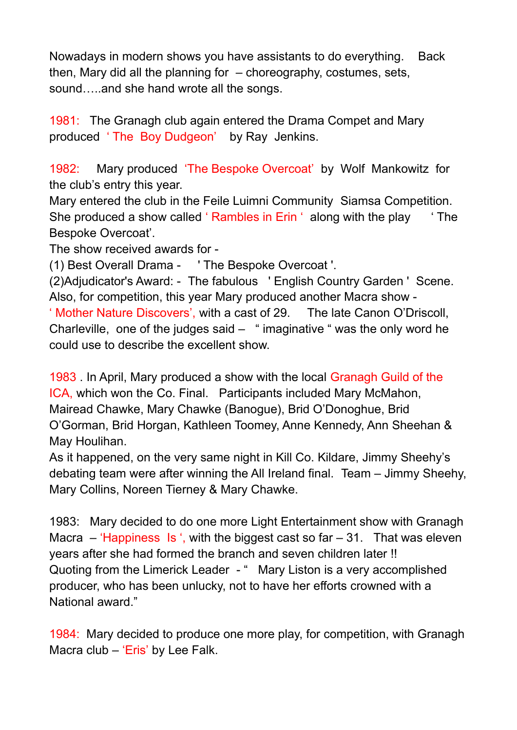Nowadays in modern shows you have assistants to do everything. Back then, Mary did all the planning for – choreography, costumes, sets, sound…..and she hand wrote all the songs.

1981: The Granagh club again entered the Drama Compet and Mary produced ' The Boy Dudgeon' by Ray Jenkins.

1982: Mary produced 'The Bespoke Overcoat' by Wolf Mankowitz for the club's entry this year.

Mary entered the club in the Feile Luimni Community Siamsa Competition. She produced a show called 'Rambles in Erin ' along with the play 'The Bespoke Overcoat'.

The show received awards for -

(1) Best Overall Drama - ' The Bespoke Overcoat '.

(2)Adjudicator's Award: - The fabulous ' English Country Garden ' Scene. Also, for competition, this year Mary produced another Macra show - ' Mother Nature Discovers', with a cast of 29. The late Canon O'Driscoll, Charleville, one of the judges said  $-$  " imaginative " was the only word he

could use to describe the excellent show.

1983 . In April, Mary produced a show with the local Granagh Guild of the ICA, which won the Co. Final. Participants included Mary McMahon, Mairead Chawke, Mary Chawke (Banogue), Brid O'Donoghue, Brid O'Gorman, Brid Horgan, Kathleen Toomey, Anne Kennedy, Ann Sheehan & May Houlihan.

As it happened, on the very same night in Kill Co. Kildare, Jimmy Sheehy's debating team were after winning the All Ireland final. Team – Jimmy Sheehy, Mary Collins, Noreen Tierney & Mary Chawke.

1983: Mary decided to do one more Light Entertainment show with Granagh Macra  $-$  'Happiness Is ', with the biggest cast so far  $-31$ . That was eleven years after she had formed the branch and seven children later !! Quoting from the Limerick Leader - " Mary Liston is a very accomplished producer, who has been unlucky, not to have her efforts crowned with a National award."

1984: Mary decided to produce one more play, for competition, with Granagh Macra club – 'Eris' by Lee Falk.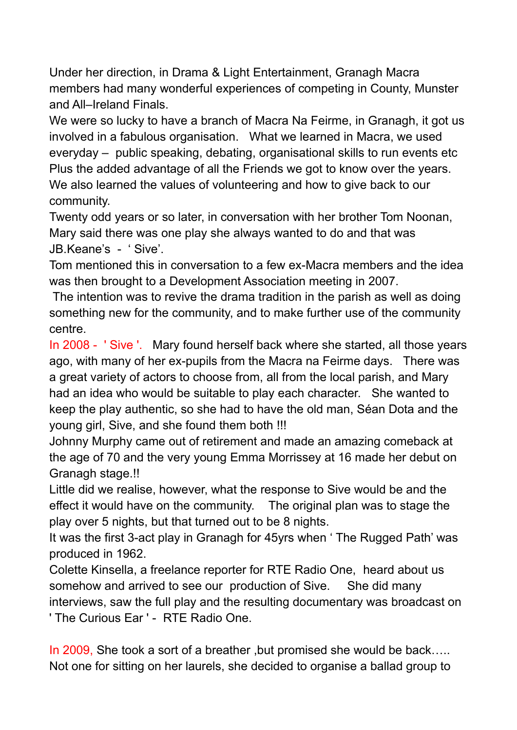Under her direction, in Drama & Light Entertainment, Granagh Macra members had many wonderful experiences of competing in County, Munster and All–Ireland Finals.

We were so lucky to have a branch of Macra Na Feirme, in Granagh, it got us involved in a fabulous organisation. What we learned in Macra, we used everyday – public speaking, debating, organisational skills to run events etc Plus the added advantage of all the Friends we got to know over the years. We also learned the values of volunteering and how to give back to our community.

Twenty odd years or so later, in conversation with her brother Tom Noonan, Mary said there was one play she always wanted to do and that was JB.Keane's - ' Sive'.

Tom mentioned this in conversation to a few ex-Macra members and the idea was then brought to a Development Association meeting in 2007.

The intention was to revive the drama tradition in the parish as well as doing something new for the community, and to make further use of the community centre.

In 2008 - ' Sive '. Mary found herself back where she started, all those years ago, with many of her ex-pupils from the Macra na Feirme days. There was a great variety of actors to choose from, all from the local parish, and Mary had an idea who would be suitable to play each character. She wanted to keep the play authentic, so she had to have the old man, Séan Dota and the young girl, Sive, and she found them both !!!

Johnny Murphy came out of retirement and made an amazing comeback at the age of 70 and the very young Emma Morrissey at 16 made her debut on Granagh stage.!!

Little did we realise, however, what the response to Sive would be and the effect it would have on the community. The original plan was to stage the play over 5 nights, but that turned out to be 8 nights.

It was the first 3-act play in Granagh for 45yrs when ' The Rugged Path' was produced in 1962.

Colette Kinsella, a freelance reporter for RTE Radio One, heard about us somehow and arrived to see our production of Sive. She did many interviews, saw the full play and the resulting documentary was broadcast on ' The Curious Ear ' - RTE Radio One.

In 2009, She took a sort of a breather, but promised she would be back..... Not one for sitting on her laurels, she decided to organise a ballad group to